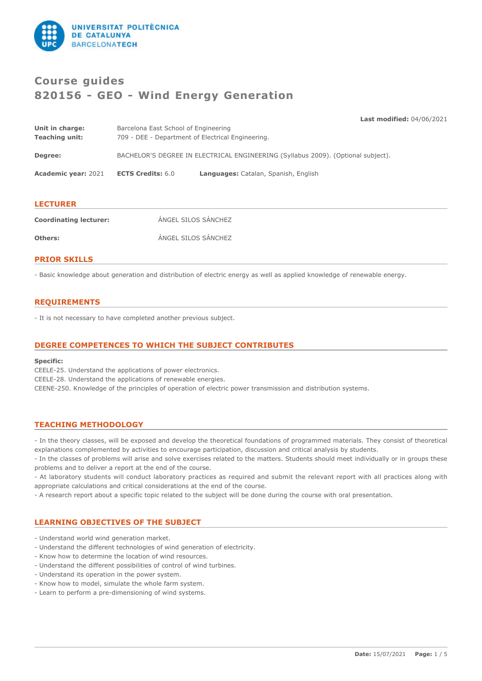

# **Course guides 820156 - GEO - Wind Energy Generation**

**Last modified:** 04/06/2021

| Unit in charge:<br><b>Teaching unit:</b> | Barcelona East School of Engineering<br>709 - DEE - Department of Electrical Engineering. |                                      |  |
|------------------------------------------|-------------------------------------------------------------------------------------------|--------------------------------------|--|
| Degree:                                  | BACHELOR'S DEGREE IN ELECTRICAL ENGINEERING (Syllabus 2009). (Optional subject).          |                                      |  |
| <b>Academic year: 2021</b>               | <b>ECTS Credits: 6.0</b>                                                                  | Languages: Catalan, Spanish, English |  |
|                                          |                                                                                           |                                      |  |

## **LECTURER**

| <b>Coordinating lecturer:</b> | ÁNGEL SILOS SÁNCHEZ |
|-------------------------------|---------------------|
| Others:                       | ÁNGEL SILOS SÁNCHEZ |

## **PRIOR SKILLS**

- Basic knowledge about generation and distribution of electric energy as well as applied knowledge of renewable energy.

## **REQUIREMENTS**

- It is not necessary to have completed another previous subject.

## **DEGREE COMPETENCES TO WHICH THE SUBJECT CONTRIBUTES**

### **Specific:**

CEELE-25. Understand the applications of power electronics. CEELE-28. Understand the applications of renewable energies. CEENE-250. Knowledge of the principles of operation of electric power transmission and distribution systems.

### **TEACHING METHODOLOGY**

- In the theory classes, will be exposed and develop the theoretical foundations of programmed materials. They consist of theoretical explanations complemented by activities to encourage participation, discussion and critical analysis by students.

- In the classes of problems will arise and solve exercises related to the matters. Students should meet individually or in groups these problems and to deliver a report at the end of the course.

- At laboratory students will conduct laboratory practices as required and submit the relevant report with all practices along with appropriate calculations and critical considerations at the end of the course.

- A research report about a specific topic related to the subject will be done during the course with oral presentation.

## **LEARNING OBJECTIVES OF THE SUBJECT**

- Understand world wind generation market.
- Understand the different technologies of wind generation of electricity.
- Know how to determine the location of wind resources.
- Understand the different possibilities of control of wind turbines.
- Understand its operation in the power system.
- Know how to model, simulate the whole farm system.
- Learn to perform a pre-dimensioning of wind systems.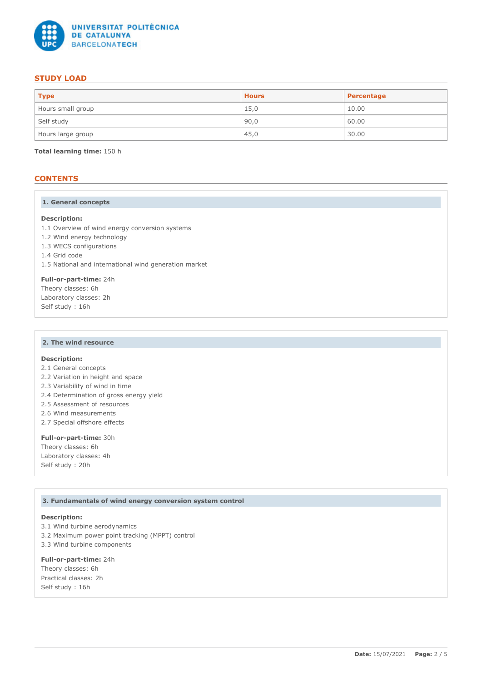

## **STUDY LOAD**

| <b>Type</b>       | <b>Hours</b> | Percentage |
|-------------------|--------------|------------|
| Hours small group | 15,0         | 10.00      |
| Self study        | 90,0         | 60.00      |
| Hours large group | 45,0         | 30.00      |

**Total learning time:** 150 h

## **CONTENTS**

### **1. General concepts**

### **Description:**

1.1 Overview of wind energy conversion systems

- 1.2 Wind energy technology
- 1.3 WECS configurations
- 1.4 Grid code

1.5 National and international wind generation market

**Full-or-part-time:** 24h Theory classes: 6h Laboratory classes: 2h Self study : 16h

### **2. The wind resource**

## **Description:**

2.1 General concepts

- 2.2 Variation in height and space
- 2.3 Variability of wind in time
- 2.4 Determination of gross energy yield
- 2.5 Assessment of resources
- 2.6 Wind measurements
- 2.7 Special offshore effects

### **Full-or-part-time:** 30h Theory classes: 6h

Laboratory classes: 4h Self study : 20h

### **3. Fundamentals of wind energy conversion system control**

### **Description:**

3.1 Wind turbine aerodynamics 3.2 Maximum power point tracking (MPPT) control 3.3 Wind turbine components

### **Full-or-part-time:** 24h

Theory classes: 6h Practical classes: 2h Self study : 16h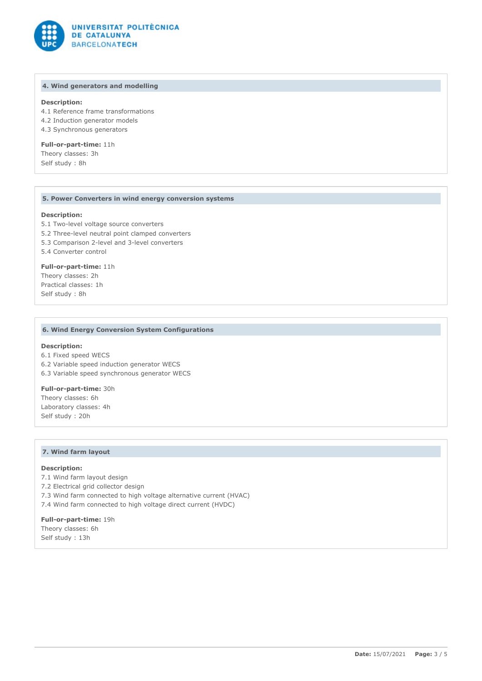

### **4. Wind generators and modelling**

### **Description:**

4.1 Reference frame transformations 4.2 Induction generator models

4.3 Synchronous generators

## **Full-or-part-time:** 11h

Theory classes: 3h Self study : 8h

### **5. Power Converters in wind energy conversion systems**

### **Description:**

5.1 Two-level voltage source converters

5.2 Three-level neutral point clamped converters

5.3 Comparison 2-level and 3-level converters

5.4 Converter control

### **Full-or-part-time:** 11h Theory classes: 2h Practical classes: 1h Self study : 8h

### **6. Wind Energy Conversion System Configurations**

#### **Description:**

6.1 Fixed speed WECS 6.2 Variable speed induction generator WECS 6.3 Variable speed synchronous generator WECS

## **Full-or-part-time:** 30h

Theory classes: 6h Laboratory classes: 4h Self study : 20h

### **7. Wind farm layout**

### **Description:**

7.1 Wind farm layout design

- 7.2 Electrical grid collector design
- 7.3 Wind farm connected to high voltage alternative current (HVAC)

7.4 Wind farm connected to high voltage direct current (HVDC)

**Full-or-part-time:** 19h Theory classes: 6h Self study : 13h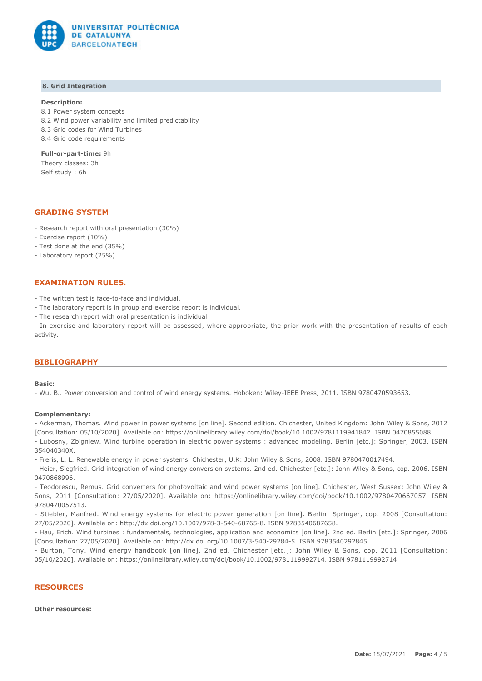

### **8. Grid Integration**

### **Description:**

8.1 Power system concepts

- 8.2 Wind power variability and limited predictability
- 8.3 Grid codes for Wind Turbines
- 8.4 Grid code requirements

**Full-or-part-time:** 9h Theory classes: 3h Self study : 6h

## **GRADING SYSTEM**

- Research report with oral presentation (30%)
- Exercise report (10%)
- Test done at the end (35%)
- Laboratory report (25%)

## **EXAMINATION RULES.**

- The written test is face-to-face and individual.
- The laboratory report is in group and exercise report is individual.
- The research report with oral presentation is individual

- In exercise and laboratory report will be assessed, where appropriate, the prior work with the presentation of results of each activity.

## **BIBLIOGRAPHY**

### **Basic:**

- Wu, B.. Power conversion and control of wind energy systems. Hoboken: Wiley-IEEE Press, 2011. ISBN 9780470593653.

### **Complementary:**

354040340X.

- Ackerman, Thomas. Wind power in power systems [on line]. Second edition. Chichester, United Kingdom: John Wiley & Sons, 2012 [Consultation: 05/10/2020]. Available on: https://onlinelibrary.wiley.com/doi/book/10.1002/9781119941842. ISBN 0470855088. - Lubosny, Zbigniew. Wind turbine operation in electric power systems : advanced modeling. Berlin [etc.]: Springer, 2003. ISBN

- Freris, L. L. Renewable energy in power systems. Chichester, U.K: John Wiley & Sons, 2008. ISBN 9780470017494.

- Heier, Siegfried. Grid integration of wind energy conversion systems. 2nd ed. Chichester [etc.]: John Wiley & Sons, cop. 2006. ISBN 0470868996.

- Teodorescu, Remus. Grid converters for photovoltaic and wind power systems [on line]. Chichester, West Sussex: John Wiley & Sons, 2011 [Consultation: 27/05/2020]. Available on: https://onlinelibrary.wiley.com/doi/book/10.1002/9780470667057. ISBN 9780470057513.

- Stiebler, Manfred. Wind energy systems for electric power generation [on line]. Berlin: Springer, cop. 2008 [Consultation: 27/05/2020]. Available on: http://dx.doi.org/10.1007/978-3-540-68765-8. ISBN 9783540687658.

- Hau, Erich. Wind turbines : fundamentals, technologies, application and economics [on line]. 2nd ed. Berlin [etc.]: Springer, 2006 [Consultation: 27/05/2020]. Available on: http://dx.doi.org/10.1007/3-540-29284-5. ISBN 9783540292845.

- Burton, Tony. Wind energy handbook [on line]. 2nd ed. Chichester [etc.]: John Wiley & Sons, cop. 2011 [Consultation: 05/10/2020]. Available on: https://onlinelibrary.wiley.com/doi/book/10.1002/9781119992714. ISBN 9781119992714.

### **RESOURCES**

### **Other resources:**